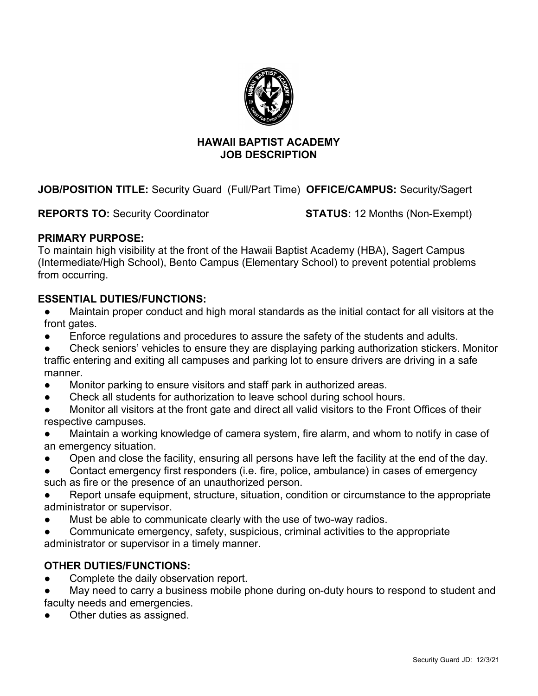

### **HAWAII BAPTIST ACADEMY JOB DESCRIPTION**

**JOB/POSITION TITLE:** Security Guard (Full/Part Time) **OFFICE/CAMPUS:** Security/Sagert

**REPORTS TO:** Security Coordinator **STATUS:** 12 Months (Non-Exempt)

## **PRIMARY PURPOSE:**

To maintain high visibility at the front of the Hawaii Baptist Academy (HBA), Sagert Campus (Intermediate/High School), Bento Campus (Elementary School) to prevent potential problems from occurring.

## **ESSENTIAL DUTIES/FUNCTIONS:**

- Maintain proper conduct and high moral standards as the initial contact for all visitors at the front gates.
- Enforce regulations and procedures to assure the safety of the students and adults.
- Check seniors' vehicles to ensure they are displaying parking authorization stickers. Monitor traffic entering and exiting all campuses and parking lot to ensure drivers are driving in a safe manner.
- Monitor parking to ensure visitors and staff park in authorized areas.
- Check all students for authorization to leave school during school hours.
- Monitor all visitors at the front gate and direct all valid visitors to the Front Offices of their respective campuses.
- Maintain a working knowledge of camera system, fire alarm, and whom to notify in case of an emergency situation.
- Open and close the facility, ensuring all persons have left the facility at the end of the day.
- Contact emergency first responders (i.e. fire, police, ambulance) in cases of emergency such as fire or the presence of an unauthorized person.
- Report unsafe equipment, structure, situation, condition or circumstance to the appropriate administrator or supervisor.
- Must be able to communicate clearly with the use of two-way radios.
- Communicate emergency, safety, suspicious, criminal activities to the appropriate administrator or supervisor in a timely manner.

# **OTHER DUTIES/FUNCTIONS:**

- Complete the daily observation report.
- May need to carry a business mobile phone during on-duty hours to respond to student and faculty needs and emergencies.
- Other duties as assigned.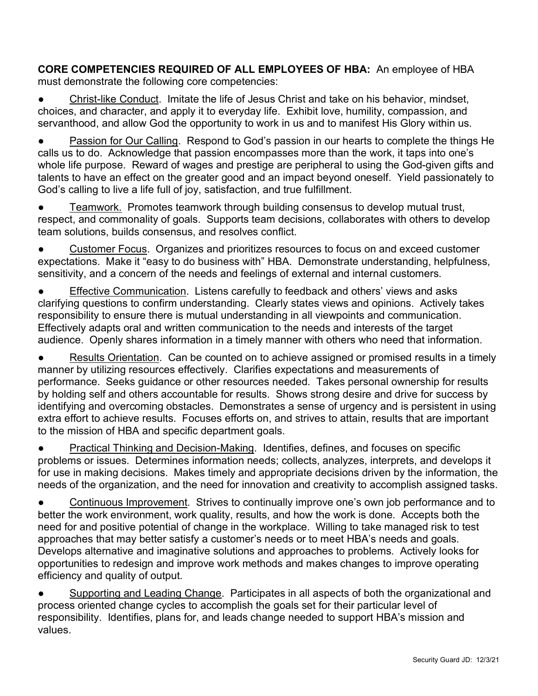**CORE COMPETENCIES REQUIRED OF ALL EMPLOYEES OF HBA:** An employee of HBA must demonstrate the following core competencies:

● Christ-like Conduct. Imitate the life of Jesus Christ and take on his behavior, mindset, choices, and character, and apply it to everyday life. Exhibit love, humility, compassion, and servanthood, and allow God the opportunity to work in us and to manifest His Glory within us.

Passion for Our Calling. Respond to God's passion in our hearts to complete the things He calls us to do. Acknowledge that passion encompasses more than the work, it taps into one's whole life purpose. Reward of wages and prestige are peripheral to using the God-given gifts and talents to have an effect on the greater good and an impact beyond oneself. Yield passionately to God's calling to live a life full of joy, satisfaction, and true fulfillment.

Teamwork. Promotes teamwork through building consensus to develop mutual trust, respect, and commonality of goals. Supports team decisions, collaborates with others to develop team solutions, builds consensus, and resolves conflict.

● Customer Focus. Organizes and prioritizes resources to focus on and exceed customer expectations. Make it "easy to do business with" HBA. Demonstrate understanding, helpfulness, sensitivity, and a concern of the needs and feelings of external and internal customers.

Effective Communication. Listens carefully to feedback and others' views and asks clarifying questions to confirm understanding. Clearly states views and opinions. Actively takes responsibility to ensure there is mutual understanding in all viewpoints and communication. Effectively adapts oral and written communication to the needs and interests of the target audience. Openly shares information in a timely manner with others who need that information.

● Results Orientation. Can be counted on to achieve assigned or promised results in a timely manner by utilizing resources effectively. Clarifies expectations and measurements of performance. Seeks guidance or other resources needed. Takes personal ownership for results by holding self and others accountable for results. Shows strong desire and drive for success by identifying and overcoming obstacles. Demonstrates a sense of urgency and is persistent in using extra effort to achieve results. Focuses efforts on, and strives to attain, results that are important to the mission of HBA and specific department goals.

**Practical Thinking and Decision-Making. Identifies, defines, and focuses on specific** problems or issues. Determines information needs; collects, analyzes, interprets, and develops it for use in making decisions. Makes timely and appropriate decisions driven by the information, the needs of the organization, and the need for innovation and creativity to accomplish assigned tasks.

Continuous Improvement. Strives to continually improve one's own job performance and to better the work environment, work quality, results, and how the work is done. Accepts both the need for and positive potential of change in the workplace. Willing to take managed risk to test approaches that may better satisfy a customer's needs or to meet HBA's needs and goals. Develops alternative and imaginative solutions and approaches to problems. Actively looks for opportunities to redesign and improve work methods and makes changes to improve operating efficiency and quality of output.

● Supporting and Leading Change. Participates in all aspects of both the organizational and process oriented change cycles to accomplish the goals set for their particular level of responsibility. Identifies, plans for, and leads change needed to support HBA's mission and values.